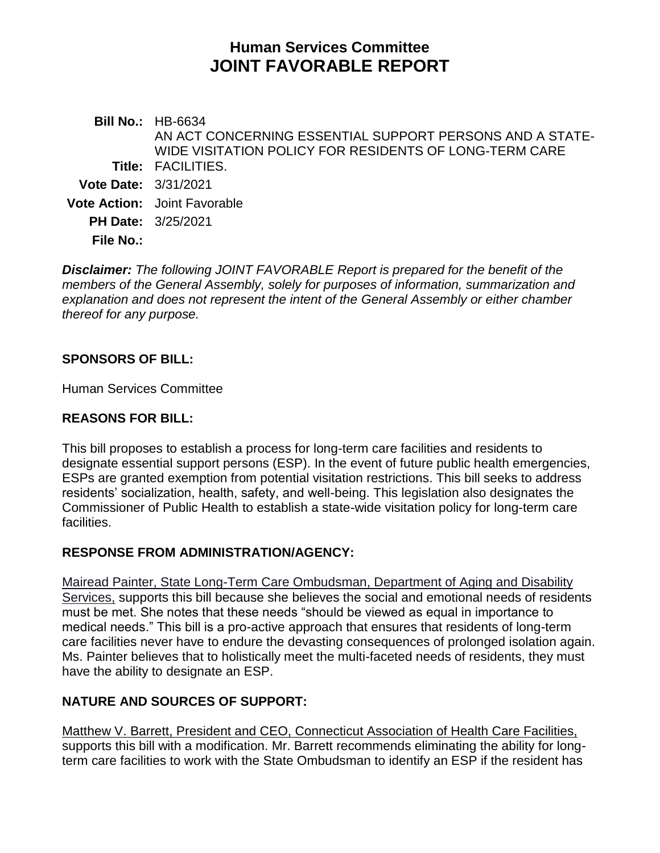# **Human Services Committee JOINT FAVORABLE REPORT**

**Bill No.:** HB-6634 **Title:** FACILITIES. AN ACT CONCERNING ESSENTIAL SUPPORT PERSONS AND A STATE-WIDE VISITATION POLICY FOR RESIDENTS OF LONG-TERM CARE **Vote Date:** 3/31/2021 **Vote Action:** Joint Favorable **PH Date:** 3/25/2021 **File No.:**

*Disclaimer: The following JOINT FAVORABLE Report is prepared for the benefit of the members of the General Assembly, solely for purposes of information, summarization and explanation and does not represent the intent of the General Assembly or either chamber thereof for any purpose.*

# **SPONSORS OF BILL:**

Human Services Committee

#### **REASONS FOR BILL:**

This bill proposes to establish a process for long-term care facilities and residents to designate essential support persons (ESP). In the event of future public health emergencies, ESPs are granted exemption from potential visitation restrictions. This bill seeks to address residents' socialization, health, safety, and well-being. This legislation also designates the Commissioner of Public Health to establish a state-wide visitation policy for long-term care facilities.

# **RESPONSE FROM ADMINISTRATION/AGENCY:**

Mairead Painter, State Long-Term Care Ombudsman, Department of Aging and Disability Services, supports this bill because she believes the social and emotional needs of residents must be met. She notes that these needs "should be viewed as equal in importance to medical needs." This bill is a pro-active approach that ensures that residents of long-term care facilities never have to endure the devasting consequences of prolonged isolation again. Ms. Painter believes that to holistically meet the multi-faceted needs of residents, they must have the ability to designate an ESP.

# **NATURE AND SOURCES OF SUPPORT:**

Matthew V. Barrett, President and CEO, Connecticut Association of Health Care Facilities, supports this bill with a modification. Mr. Barrett recommends eliminating the ability for longterm care facilities to work with the State Ombudsman to identify an ESP if the resident has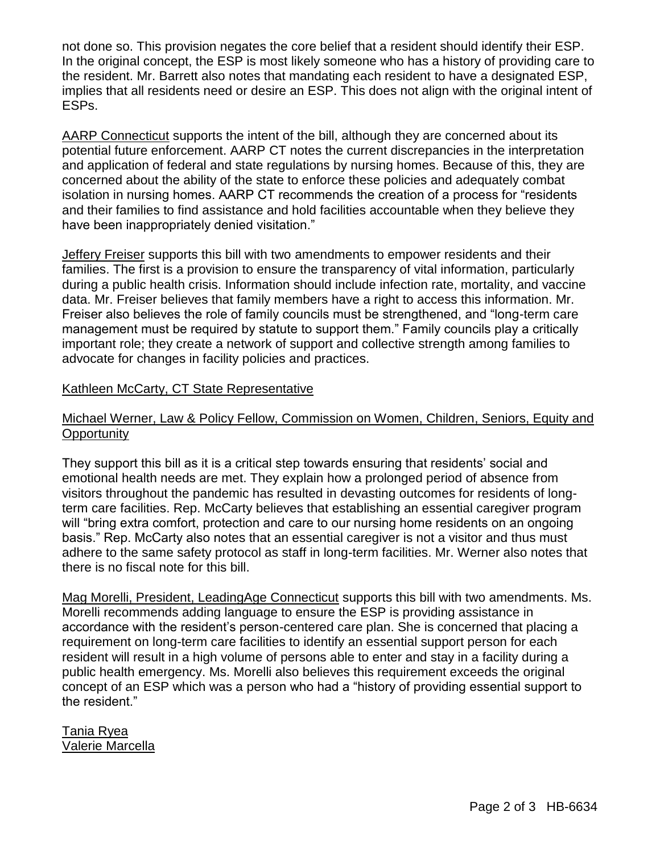not done so. This provision negates the core belief that a resident should identify their ESP. In the original concept, the ESP is most likely someone who has a history of providing care to the resident. Mr. Barrett also notes that mandating each resident to have a designated ESP, implies that all residents need or desire an ESP. This does not align with the original intent of ESPs.

AARP Connecticut supports the intent of the bill, although they are concerned about its potential future enforcement. AARP CT notes the current discrepancies in the interpretation and application of federal and state regulations by nursing homes. Because of this, they are concerned about the ability of the state to enforce these policies and adequately combat isolation in nursing homes. AARP CT recommends the creation of a process for "residents and their families to find assistance and hold facilities accountable when they believe they have been inappropriately denied visitation."

Jeffery Freiser supports this bill with two amendments to empower residents and their families. The first is a provision to ensure the transparency of vital information, particularly during a public health crisis. Information should include infection rate, mortality, and vaccine data. Mr. Freiser believes that family members have a right to access this information. Mr. Freiser also believes the role of family councils must be strengthened, and "long-term care management must be required by statute to support them." Family councils play a critically important role; they create a network of support and collective strength among families to advocate for changes in facility policies and practices.

#### Kathleen McCarty, CT State Representative

#### Michael Werner, Law & Policy Fellow, Commission on Women, Children, Seniors, Equity and **Opportunity**

They support this bill as it is a critical step towards ensuring that residents' social and emotional health needs are met. They explain how a prolonged period of absence from visitors throughout the pandemic has resulted in devasting outcomes for residents of longterm care facilities. Rep. McCarty believes that establishing an essential caregiver program will "bring extra comfort, protection and care to our nursing home residents on an ongoing basis." Rep. McCarty also notes that an essential caregiver is not a visitor and thus must adhere to the same safety protocol as staff in long-term facilities. Mr. Werner also notes that there is no fiscal note for this bill.

Mag Morelli, President, LeadingAge Connecticut supports this bill with two amendments. Ms. Morelli recommends adding language to ensure the ESP is providing assistance in accordance with the resident's person-centered care plan. She is concerned that placing a requirement on long-term care facilities to identify an essential support person for each resident will result in a high volume of persons able to enter and stay in a facility during a public health emergency. Ms. Morelli also believes this requirement exceeds the original concept of an ESP which was a person who had a "history of providing essential support to the resident."

Tania Ryea Valerie Marcella